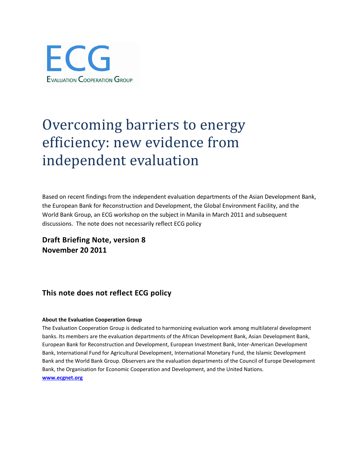

# Overcoming barriers to energy efficiency: new evidence from independent evaluation

Based on recent findings from the independent evaluation departments of the Asian Development Bank, the European Bank for Reconstruction and Development, the Global Environment Facility, and the World Bank Group, an ECG workshop on the subject in Manila in March 2011 and subsequent discussions. The note does not necessarily reflect ECG policy

**Draft Briefing Note, version 8 November 20 2011**

## **This note does not reflect ECG policy**

#### **About the Evaluation Cooperation Group**

The Evaluation Cooperation Group is dedicated to harmonizing evaluation work among multilateral development banks. Its members are the evaluation departments of the African Development Bank, Asian Development Bank, European Bank for Reconstruction and Development, European Investment Bank, Inter-American Development Bank, International Fund for Agricultural Development, International Monetary Fund, the Islamic Development Bank and the World Bank Group. Observers are the evaluation departments of the Council of Europe Development Bank, the Organisation for Economic Cooperation and Development, and the United Nations. **[www.ecgnet.org](http://www.ecgnet.org/)**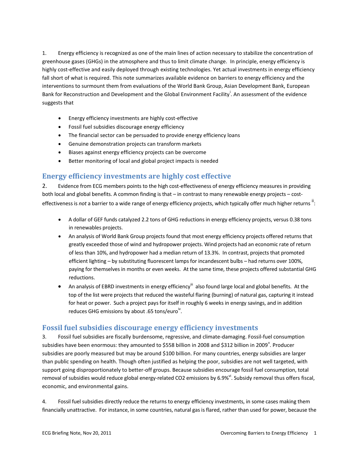1. Energy efficiency is recognized as one of the main lines of action necessary to stabilize the concentration of greenhouse gases (GHGs) in the atmosphere and thus to limit climate change. In principle, energy efficiency is highly cost-effective and easily deployed through existing technologies. Yet actual investments in energy efficiency fall short of what is required. This note summarizes available evidence on barriers to energy efficiency and the interventions to surmount them from evaluations of the World Bank Group, Asian Development Bank, European Bank for Reconstruction and Development and the Global Environment Facility<sup>i</sup>. An assessment of the evidence suggests that

- Energy efficiency investments are highly cost-effective
- Fossil fuel subsidies discourage energy efficiency
- The financial sector can be persuaded to provide energy efficiency loans
- Genuine demonstration projects can transform markets
- Biases against energy efficiency projects can be overcome
- Better monitoring of local and global project impacts is needed

#### **Energy efficiency investments are highly cost effective**

2. Evidence from ECG members points to the high cost-effectiveness of energy efficiency measures in providing both local and global benefits. A common finding is that – in contrast to many renewable energy projects – costeffectiveness is *not* a barrier to a wide range of energy efficiency projects, which typically offer much higher returns <sup>ii</sup>:

- A dollar of GEF funds catalyzed 2.2 tons of GHG reductions in energy efficiency projects, versus 0.38 tons in renewables projects.
- An analysis of World Bank Group projects found that most energy efficiency projects offered returns that greatly exceeded those of wind and hydropower projects. Wind projects had an economic rate of return of less than 10%, and hydropower had a median return of 13.3%. In contrast, projects that promoted efficient lighting – by substituting fluorescent lamps for incandescent bulbs – had returns over 100%, paying for themselves in months or even weeks. At the same time, these projects offered substantial GHG reductions.
- An analysis of EBRD investments in energy efficiency<sup>III</sup> also found large local and global benefits. At the top of the list were projects that reduced the wasteful flaring (burning) of natural gas, capturing it instead for heat or power. Such a project pays for itself in roughly 6 weeks in energy savings, and in addition reduces GHG emissions by about .65 tons/euro $\overline{N}$ .

#### **Fossil fuel subsidies discourage energy efficiency investments**

3. Fossil fuel subsidies are fiscally burdensome, regressive, and climate-damaging. Fossil-fuel consumption subsidies have been enormous: they amounted to \$558 billion in 2008 and \$312 billion in 2009<sup>v</sup>. Producer subsidies are poorly measured but may be around \$100 billion. For many countries, energy subsidies are larger than public spending on health. Though often justified as helping the poor, subsidies are not well targeted, with support going disproportionately to better-off groups. Because subsidies encourage fossil fuel consumption, total removal of subsidies would reduce global energy-related CO2 emissions by 6.9%<sup>vi</sup>. Subsidy removal thus offers fiscal, economic, and environmental gains.

4. Fossil fuel subsidies directly reduce the returns to energy efficiency investments, in some cases making them financially unattractive. For instance, in some countries, natural gas is flared, rather than used for power, because the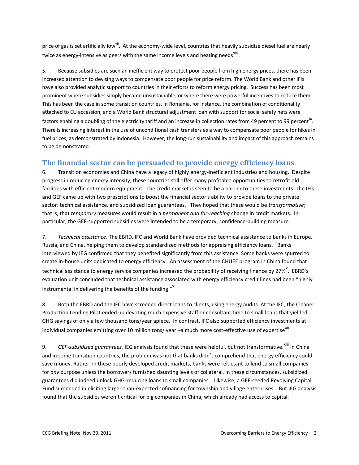price of gas is set artificially low<sup>vii</sup>. At the economy-wide level, countries that heavily subsidize diesel fuel are nearly twice as energy-intensive as peers with the same income levels and heating needs $^{\text{viii}}$ .

5. Because subsidies are such an inefficient way to protect poor people from high energy prices, there has been increased attention to devising ways to compensate poor people for price reform. The World Bank and other IFIs have also provided analytic support to countries in their efforts to reform energy pricing. Success has been most prominent where subsidies simply became unsustainable, or where there were powerful incentives to reduce them. This has been the case in some transition countries. In Romania, for instance, the combination of conditionality attached to EU accession, and a World Bank structural adjustment loan with support for social safety nets were factors enabling a doubling of the electricity tariff and an increase in collection rates from 49 percent to 99 percent<sup>ix</sup>. There is increasing interest in the use of unconditional cash transfers as a way to compensate poor people for hikes in fuel prices, as demonstrated by Indonesia. However, the long-run sustainability and impact of this approach remains to be demonstrated.

## **The financial sector can be persuaded to provide energy efficiency loans**

6. Transition economies and China have a legacy of highly energy-inefficient industries and housing. Despite progress in reducing energy intensity, these countries still offer many profitable opportunities to retrofit old facilities with efficient modern equipment. The credit market is seen to be a barrier to these investments. The IFIs and GEF came up with two prescriptions to boost the financial sector's ability to provide loans to the private sector: technical assistance, and subsidized loan guarantees. They hoped that these would be *transformative*; that is, that *temporary* measures would result in a *permanent and far-reaching* change in credit markets. In particular, the GEF-supported subsidies were intended to be a temporary, confidence-building measure.

7. *Technical assistance*. The EBRD, IFC and World Bank have provided technical assistance to banks in Europe, Russia, and China, helping them to develop standardized methods for appraising efficiency loans. Banks interviewed by IEG confirmed that they benefited significantly from this assistance. Some banks were spurred to create in-house units dedicated to energy efficiency. An assessment of the CHUEE program in China found that technical assistance to energy service companies increased the probability of receiving finance by 27%<sup>x</sup>. EBRD's evaluation unit concluded that technical assistance associated with energy efficiency credit lines had been "highly instrumental in delivering the benefits of the funding."<sup>XI</sup>

8. Both the EBRD and the IFC have screened direct loans to clients, using energy audits. At the IFC, the Cleaner Production Lending Pilot ended up devoting much expensive staff or consultant time to small loans that yielded GHG savings of only a few thousand tons/year apiece. In contrast, IFC also supported efficiency investments at individual companies emitting over 10 million tons/ year  $\neg$ a much more cost-effective use of expertise $^{\text{Xii}}$ .

9. *GEF-subsidized guarantees.* IEG analysis found that these were helpful, but not transformative.<sup>Xiii</sup> In China and in some transition countries, the problem was not that banks didn't comprehend that energy efficiency could save money. Rather, in these poorly developed credit markets, banks were reluctant to lend to small companies for *any* purpose unless the borrowers furnished daunting levels of collateral. In these circumstances, subsidized guarantees did indeed unlock GHG-reducing loans to small companies. Likewise, a GEF-seeded Revolving Capital Fund succeeded in eliciting larger-than-expected cofinancing for township and village enterprises. But IEG analysis found that the subsidies weren't critical for big companies in China, which already had access to capital.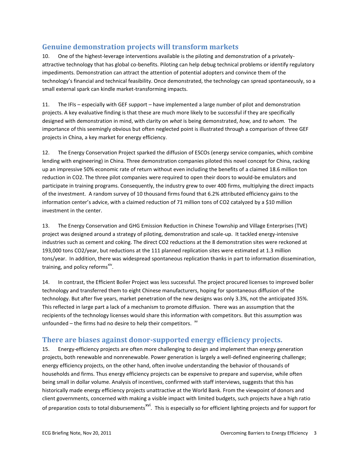### **Genuine demonstration projects will transform markets**

10. One of the highest-leverage interventions available is the piloting and demonstration of a privatelyattractive technology that has global co-benefits. Piloting can help debug technical problems or identify regulatory impediments. Demonstration can attract the attention of potential adopters and convince them of the technology's financial and technical feasibility. Once demonstrated, the technology can spread spontaneously, so a small external spark can kindle market-transforming impacts.

11. The IFIs – especially with GEF support – have implemented a large number of pilot and demonstration projects. A key evaluative finding is that these are much more likely to be successful if they are specifically designed with demonstration in mind, with clarity on *what* is being demonstrated, *how,* and *to whom.* The importance of this seemingly obvious but often neglected point is illustrated through a comparison of three GEF projects in China, a key market for energy efficiency.

12. The Energy Conservation Project sparked the diffusion of ESCOs (energy service companies, which combine lending with engineering) in China. Three demonstration companies piloted this novel concept for China, racking up an impressive 50% economic rate of return without even including the benefits of a claimed 18.6 million ton reduction in CO2. The three pilot companies were required to open their doors to would-be emulators and participate in training programs. Consequently, the industry grew to over 400 firms, multiplying the direct impacts of the investment. A random survey of 10 thousand firms found that 6.2% attributed efficiency gains to the information center's advice, with a claimed reduction of 71 million tons of CO2 catalyzed by a \$10 million investment in the center.

13. The Energy Conservation and GHG Emission Reduction in Chinese Township and Village Enterprises (TVE) project was designed around a strategy of piloting, demonstration and scale-up. It tackled energy-intensive industries such as cement and coking. The direct CO2 reductions at the 8 demonstration sites were reckoned at 193,000 tons CO2/year, but reductions at the 111 planned replication sites were estimated at 1.3 million tons/year. In addition, there was widespread spontaneous replication thanks in part to information dissemination, training, and policy reforms<sup>xiv</sup>.

14. In contrast, the Efficient Boiler Project was less successful. The project procured licenses to improved boiler technology and transferred them to eight Chinese manufacturers, hoping for spontaneous diffusion of the technology. But after five years, market penetration of the new designs was only 3.3%, not the anticipated 35%. This reflected in large part a lack of a mechanism to promote diffusion. There was an assumption that the recipients of the technology licenses would share this information with competitors. But this assumption was unfounded – the firms had no desire to help their competitors.  $\frac{1}{2}$ 

#### **There are biases against donor-supported energy efficiency projects.**

15. Energy-efficiency projects are often more challenging to design and implement than energy generation projects, both renewable and nonrenewable. Power generation is largely a well-defined engineering challenge; energy efficiency projects, on the other hand, often involve understanding the behavior of thousands of households and firms. Thus energy efficiency projects can be expensive to prepare and supervise, while often being small in dollar volume. Analysis of incentives, confirmed with staff interviews, suggests that this has historically made energy efficiency projects unattractive at the World Bank. From the viewpoint of donors and client governments, concerned with making a visible impact with limited budgets, such projects have a high ratio of preparation costs to total disbursements<sup>xvi</sup>. This is especially so for efficient lighting projects and for support for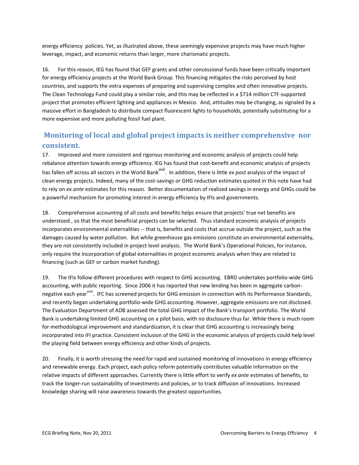energy efficiency policies. Yet, as illustrated above, these seemingly expensive projects may have much higher leverage, impact, and economic returns than larger, more charismatic projects.

16. For this reason, IEG has found that GEF grants and other concessional funds have been critically important for energy efficiency projects at the World Bank Group. This financing mitigates the risks perceived by host countries, and supports the extra expenses of preparing and supervising complex and often innovative projects. The Clean Technology Fund could play a similar role, and this may be reflected in a \$714 million CTF-supported project that promotes efficient lighting and appliances in Mexico. And, attitudes may be changing, as signaled by a massive effort in Bangladesh to distribute compact fluorescent lights to households, potentially substituting for a more expensive and more polluting fossil fuel plant.

## **Monitoring of local and global project impacts is neither comprehensive nor consistent.**

17. Improved and more consistent and rigorous monitoring and economic analysis of projects could help rebalance attention towards energy efficiency. IEG has found that cost-benefit and economic analysis of projects has fallen off across all sectors in the World Bank<sup>xvii</sup>. In addition, there is little *ex post* analysis of the impact of clean energy projects. Indeed, many of the cost-savings or GHG reduction estimates quoted in this note have had to rely on *ex ante* estimates for this reason. Better documentation of realized savings in energy and GHGs could be a powerful mechanism for promoting interest in energy efficiency by IFIs and governments.

18. Comprehensive accounting of all costs and benefits helps ensure that projects' true net benefits are understood , so that the most beneficial projects can be selected. Thus standard economic analysis of projects incorporates environmental externalities -- that is, benefits and costs that accrue outside the project, such as the damages caused by water pollution. But while greenhouse gas emissions constitute an environmental externality, they are not consistently included in project level analysis. The World Bank's Operational Policies, for instance, only require the incorporation of global externalities in project economic analysis when they are related to financing (such as GEF or carbon market funding).

19. The IFIs follow different procedures with respect to GHG accounting. EBRD undertakes portfolio-wide GHG accounting, with public reporting. Since 2006 it has reported that new lending has been in aggregate carbonnegative each year<sup>xviii</sup>. IFC has screened projects for GHG emission in connection with its Performance Standards, and recently began undertaking portfolio-wide GHG accounting. However, aggregate emissions are not disclosed. The Evaluation Department of ADB assessed the total GHG impact of the Bank's transport portfolio. The World Bank is undertaking limited GHG accounting on a pilot basis, with no disclosure thus far. While there is much room for methodological improvement and standardization, it is clear that GHG accounting is increasingly being incorporated into IFI practice. Consistent inclusion of the GHG in the economic analysis of projects could help level the playing field between energy efficiency and other kinds of projects.

20. Finally, it is worth stressing the need for rapid and sustained monitoring of innovations in energy efficiency and renewable energy. Each project, each policy reform potentially contributes valuable information on the relative impacts of different approaches. Currently there is little effort to verify *ex ante* estimates of benefits, to track the longer-run sustainability of investments and policies, or to track diffusion of innovations. Increased knowledge sharing will raise awareness towards the greatest opportunities.